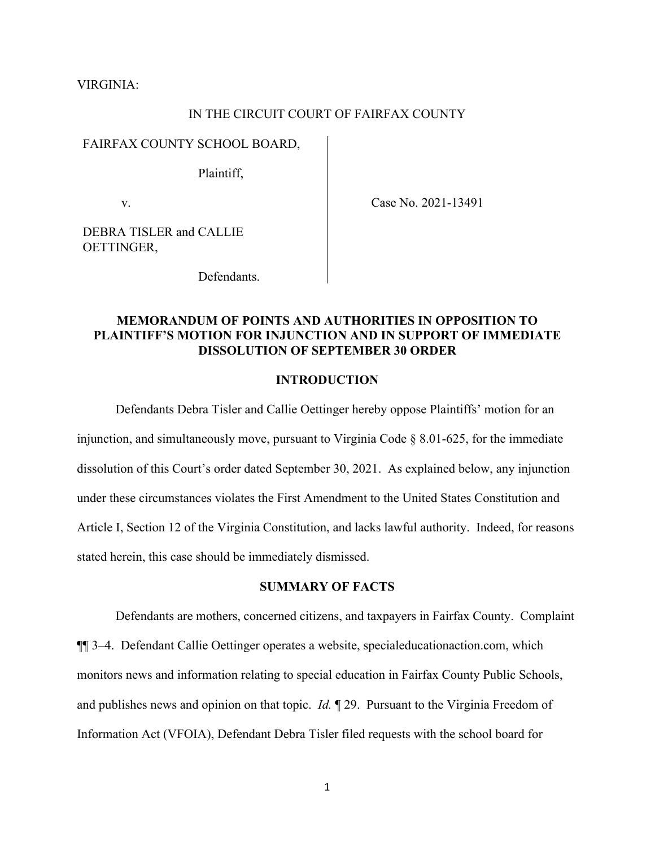VIRGINIA:

# IN THE CIRCUIT COURT OF FAIRFAX COUNTY

#### FAIRFAX COUNTY SCHOOL BOARD,

Plaintiff,

v.

Case No. 2021-13491

DEBRA TISLER and CALLIE OETTINGER,

Defendants.

# **MEMORANDUM OF POINTS AND AUTHORITIES IN OPPOSITION TO PLAINTIFF'S MOTION FOR INJUNCTION AND IN SUPPORT OF IMMEDIATE DISSOLUTION OF SEPTEMBER 30 ORDER**

#### **INTRODUCTION**

Defendants Debra Tisler and Callie Oettinger hereby oppose Plaintiffs' motion for an injunction, and simultaneously move, pursuant to Virginia Code  $\S$  8.01-625, for the immediate dissolution of this Court's order dated September 30, 2021. As explained below, any injunction under these circumstances violates the First Amendment to the United States Constitution and Article I, Section 12 of the Virginia Constitution, and lacks lawful authority. Indeed, for reasons stated herein, this case should be immediately dismissed.

#### **SUMMARY OF FACTS**

Defendants are mothers, concerned citizens, and taxpayers in Fairfax County. Complaint ¶¶ 3–4. Defendant Callie Oettinger operates a website, specialeducationaction.com, which monitors news and information relating to special education in Fairfax County Public Schools, and publishes news and opinion on that topic. *Id.* ¶ 29. Pursuant to the Virginia Freedom of Information Act (VFOIA), Defendant Debra Tisler filed requests with the school board for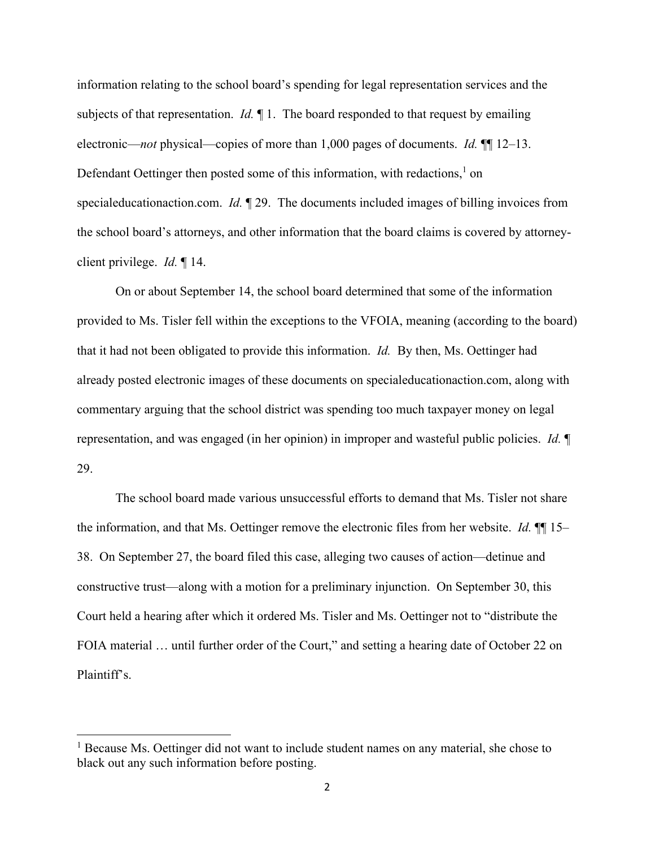information relating to the school board's spending for legal representation services and the subjects of that representation. *Id.* ¶ 1. The board responded to that request by emailing electronic—*not* physical—copies of more than 1,000 pages of documents. *Id.* ¶¶ 12–13. Defendant Oettinger then posted some of this information, with redactions,  $1$  on specialeducationaction.com. *Id.* ¶ 29. The documents included images of billing invoices from the school board's attorneys, and other information that the board claims is covered by attorneyclient privilege. *Id.* ¶ 14.

 On or about September 14, the school board determined that some of the information provided to Ms. Tisler fell within the exceptions to the VFOIA, meaning (according to the board) that it had not been obligated to provide this information. *Id.* By then, Ms. Oettinger had already posted electronic images of these documents on specialeducationaction.com, along with commentary arguing that the school district was spending too much taxpayer money on legal representation, and was engaged (in her opinion) in improper and wasteful public policies. *Id.* ¶ 29.

 The school board made various unsuccessful efforts to demand that Ms. Tisler not share the information, and that Ms. Oettinger remove the electronic files from her website. *Id.* ¶¶ 15– 38. On September 27, the board filed this case, alleging two causes of action—detinue and constructive trust—along with a motion for a preliminary injunction. On September 30, this Court held a hearing after which it ordered Ms. Tisler and Ms. Oettinger not to "distribute the FOIA material ... until further order of the Court," and setting a hearing date of October 22 on Plaintiff's.

<sup>&</sup>lt;sup>1</sup> Because Ms. Oettinger did not want to include student names on any material, she chose to black out any such information before posting.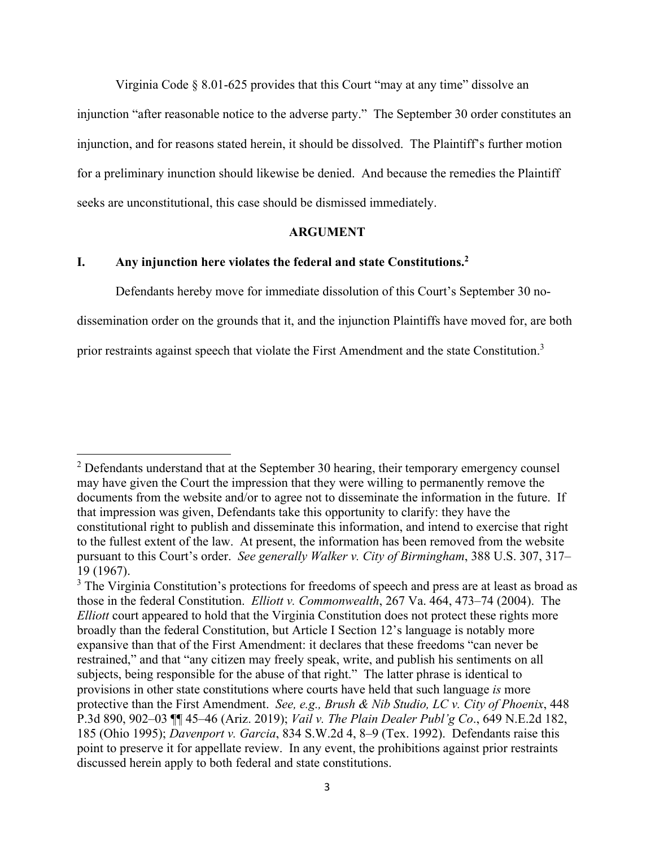Virginia Code § 8.01-625 provides that this Court "may at any time" dissolve an injunction "after reasonable notice to the adverse party." The September 30 order constitutes an injunction, and for reasons stated herein, it should be dissolved. The Plaintiff's further motion for a preliminary inunction should likewise be denied. And because the remedies the Plaintiff seeks are unconstitutional, this case should be dismissed immediately.

#### **ARGUMENT**

# **I. Any injunction here violates the federal and state Constitutions.2**

Defendants hereby move for immediate dissolution of this Court's September 30 no-

dissemination order on the grounds that it, and the injunction Plaintiffs have moved for, are both

prior restraints against speech that violate the First Amendment and the state Constitution.<sup>3</sup>

 $2$  Defendants understand that at the September 30 hearing, their temporary emergency counsel may have given the Court the impression that they were willing to permanently remove the documents from the website and/or to agree not to disseminate the information in the future. If that impression was given, Defendants take this opportunity to clarify: they have the constitutional right to publish and disseminate this information, and intend to exercise that right to the fullest extent of the law. At present, the information has been removed from the website pursuant to this Court's order. *See generally Walker v. City of Birmingham*, 388 U.S. 307, 317– 19 (1967).

 $3$  The Virginia Constitution's protections for freedoms of speech and press are at least as broad as those in the federal Constitution. *Elliott v. Commonwealth*, 267 Va. 464, 473–74 (2004). The *Elliott* court appeared to hold that the Virginia Constitution does not protect these rights more broadly than the federal Constitution, but Article I Section 12's language is notably more expansive than that of the First Amendment: it declares that these freedoms "can never be restrained," and that "any citizen may freely speak, write, and publish his sentiments on all subjects, being responsible for the abuse of that right." The latter phrase is identical to provisions in other state constitutions where courts have held that such language *is* more protective than the First Amendment. *See, e.g., Brush & Nib Studio, LC v. City of Phoenix*, 448 P.3d 890, 902–03 ¶¶ 45–46 (Ariz. 2019); *Vail v. The Plain Dealer Publ'g Co*., 649 N.E.2d 182, 185 (Ohio 1995); *Davenport v. Garcia*, 834 S.W.2d 4, 8–9 (Tex. 1992). Defendants raise this point to preserve it for appellate review. In any event, the prohibitions against prior restraints discussed herein apply to both federal and state constitutions.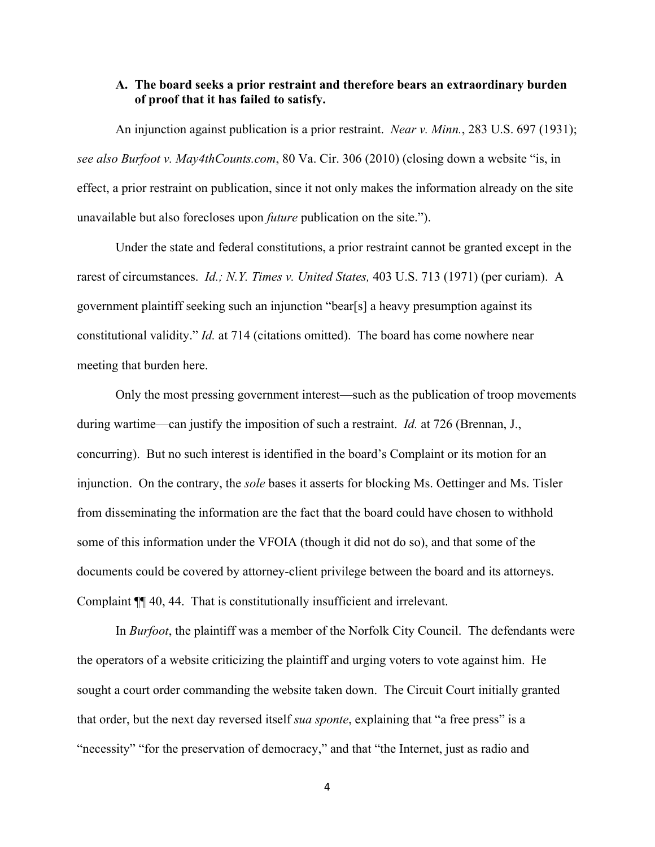## **A. The board seeks a prior restraint and therefore bears an extraordinary burden of proof that it has failed to satisfy.**

 An injunction against publication is a prior restraint. *Near v. Minn.*, 283 U.S. 697 (1931); *see also Burfoot v. May4thCounts.com*, 80 Va. Cir. 306 (2010) (closing down a website "is, in effect, a prior restraint on publication, since it not only makes the information already on the site unavailable but also forecloses upon *future* publication on the site.").

 Under the state and federal constitutions, a prior restraint cannot be granted except in the rarest of circumstances. *Id.; N.Y. Times v. United States,* 403 U.S. 713 (1971) (per curiam). A government plaintiff seeking such an injunction "bear[s] a heavy presumption against its constitutional validity." *Id.* at 714 (citations omitted). The board has come nowhere near meeting that burden here.

 Only the most pressing government interest—such as the publication of troop movements during wartime—can justify the imposition of such a restraint. *Id.* at 726 (Brennan, J., concurring). But no such interest is identified in the board's Complaint or its motion for an injunction. On the contrary, the *sole* bases it asserts for blocking Ms. Oettinger and Ms. Tisler from disseminating the information are the fact that the board could have chosen to withhold some of this information under the VFOIA (though it did not do so), and that some of the documents could be covered by attorney-client privilege between the board and its attorneys. Complaint ¶¶ 40, 44. That is constitutionally insufficient and irrelevant.

 In *Burfoot*, the plaintiff was a member of the Norfolk City Council. The defendants were the operators of a website criticizing the plaintiff and urging voters to vote against him. He sought a court order commanding the website taken down. The Circuit Court initially granted that order, but the next day reversed itself *sua sponte*, explaining that "a free press" is a "necessity" "for the preservation of democracy," and that "the Internet, just as radio and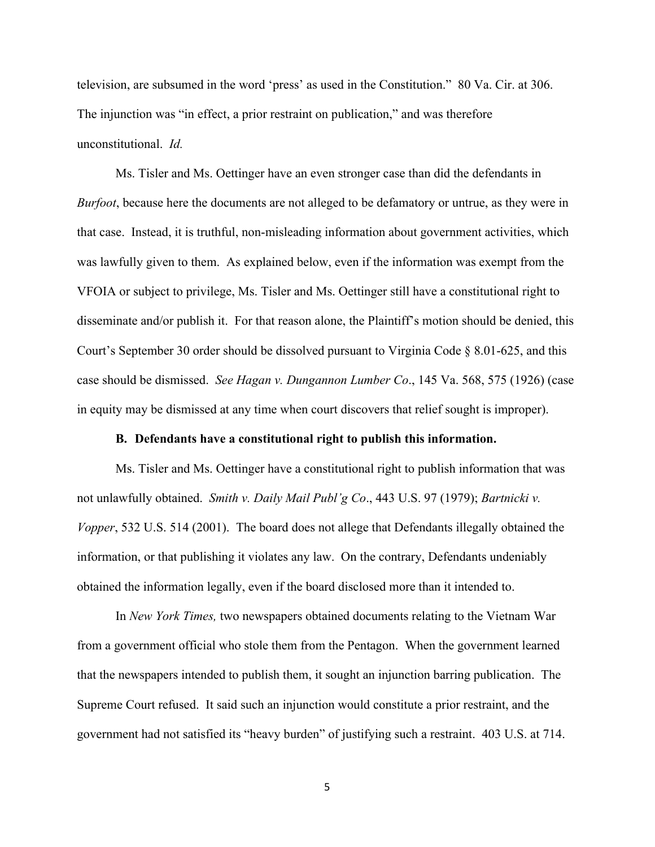television, are subsumed in the word 'press' as used in the Constitution." 80 Va. Cir. at 306. The injunction was "in effect, a prior restraint on publication," and was therefore unconstitutional. *Id.*

 Ms. Tisler and Ms. Oettinger have an even stronger case than did the defendants in *Burfoot*, because here the documents are not alleged to be defamatory or untrue, as they were in that case. Instead, it is truthful, non-misleading information about government activities, which was lawfully given to them. As explained below, even if the information was exempt from the VFOIA or subject to privilege, Ms. Tisler and Ms. Oettinger still have a constitutional right to disseminate and/or publish it. For that reason alone, the Plaintiff's motion should be denied, this Court's September 30 order should be dissolved pursuant to Virginia Code § 8.01-625, and this case should be dismissed. *See Hagan v. Dungannon Lumber Co*., 145 Va. 568, 575 (1926) (case in equity may be dismissed at any time when court discovers that relief sought is improper).

#### **B. Defendants have a constitutional right to publish this information.**

Ms. Tisler and Ms. Oettinger have a constitutional right to publish information that was not unlawfully obtained. *Smith v. Daily Mail Publ'g Co*., 443 U.S. 97 (1979); *Bartnicki v. Vopper*, 532 U.S. 514 (2001). The board does not allege that Defendants illegally obtained the information, or that publishing it violates any law. On the contrary, Defendants undeniably obtained the information legally, even if the board disclosed more than it intended to.

 In *New York Times,* two newspapers obtained documents relating to the Vietnam War from a government official who stole them from the Pentagon. When the government learned that the newspapers intended to publish them, it sought an injunction barring publication. The Supreme Court refused. It said such an injunction would constitute a prior restraint, and the government had not satisfied its "heavy burden" of justifying such a restraint. 403 U.S. at 714.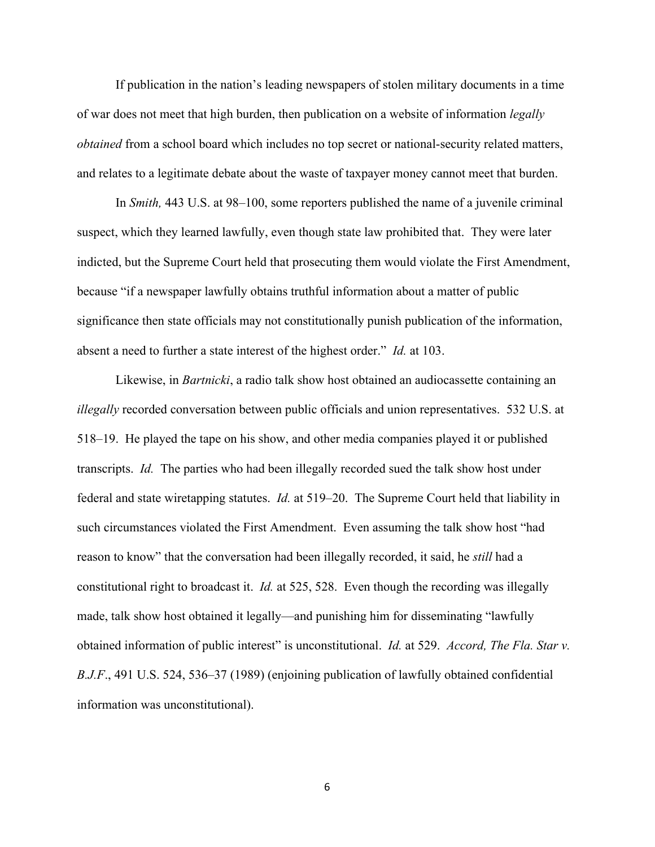If publication in the nation's leading newspapers of stolen military documents in a time of war does not meet that high burden, then publication on a website of information *legally obtained* from a school board which includes no top secret or national-security related matters, and relates to a legitimate debate about the waste of taxpayer money cannot meet that burden.

In *Smith,* 443 U.S. at 98–100, some reporters published the name of a juvenile criminal suspect, which they learned lawfully, even though state law prohibited that. They were later indicted, but the Supreme Court held that prosecuting them would violate the First Amendment, because "if a newspaper lawfully obtains truthful information about a matter of public significance then state officials may not constitutionally punish publication of the information, absent a need to further a state interest of the highest order." *Id.* at 103.

 Likewise, in *Bartnicki*, a radio talk show host obtained an audiocassette containing an *illegally* recorded conversation between public officials and union representatives. 532 U.S. at 518–19. He played the tape on his show, and other media companies played it or published transcripts. *Id.* The parties who had been illegally recorded sued the talk show host under federal and state wiretapping statutes. *Id.* at 519–20. The Supreme Court held that liability in such circumstances violated the First Amendment. Even assuming the talk show host "had reason to know" that the conversation had been illegally recorded, it said, he *still* had a constitutional right to broadcast it. *Id.* at 525, 528. Even though the recording was illegally made, talk show host obtained it legally—and punishing him for disseminating "lawfully obtained information of public interest" is unconstitutional. *Id.* at 529. *Accord, The Fla. Star v. B.J.F*., 491 U.S. 524, 536–37 (1989) (enjoining publication of lawfully obtained confidential information was unconstitutional).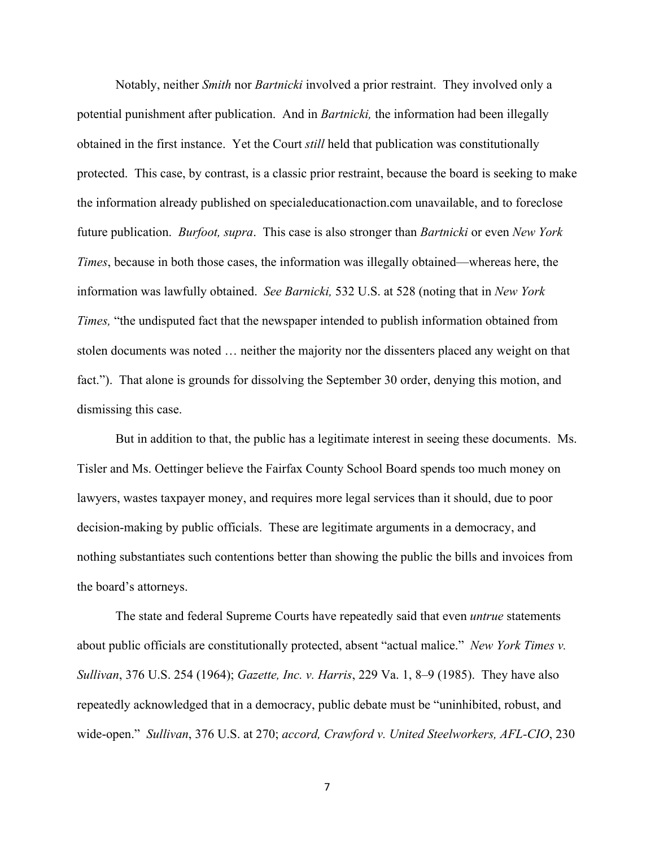Notably, neither *Smith* nor *Bartnicki* involved a prior restraint. They involved only a potential punishment after publication. And in *Bartnicki,* the information had been illegally obtained in the first instance. Yet the Court *still* held that publication was constitutionally protected. This case, by contrast, is a classic prior restraint, because the board is seeking to make the information already published on specialeducationaction.com unavailable, and to foreclose future publication. *Burfoot, supra*. This case is also stronger than *Bartnicki* or even *New York Times*, because in both those cases, the information was illegally obtained—whereas here, the information was lawfully obtained. *See Barnicki,* 532 U.S. at 528 (noting that in *New York Times,* "the undisputed fact that the newspaper intended to publish information obtained from stolen documents was noted … neither the majority nor the dissenters placed any weight on that fact."). That alone is grounds for dissolving the September 30 order, denying this motion, and dismissing this case.

But in addition to that, the public has a legitimate interest in seeing these documents. Ms. Tisler and Ms. Oettinger believe the Fairfax County School Board spends too much money on lawyers, wastes taxpayer money, and requires more legal services than it should, due to poor decision-making by public officials. These are legitimate arguments in a democracy, and nothing substantiates such contentions better than showing the public the bills and invoices from the board's attorneys.

The state and federal Supreme Courts have repeatedly said that even *untrue* statements about public officials are constitutionally protected, absent "actual malice." *New York Times v. Sullivan*, 376 U.S. 254 (1964); *Gazette, Inc. v. Harris*, 229 Va. 1, 8–9 (1985). They have also repeatedly acknowledged that in a democracy, public debate must be "uninhibited, robust, and wide-open." *Sullivan*, 376 U.S. at 270; *accord, Crawford v. United Steelworkers, AFL-CIO*, 230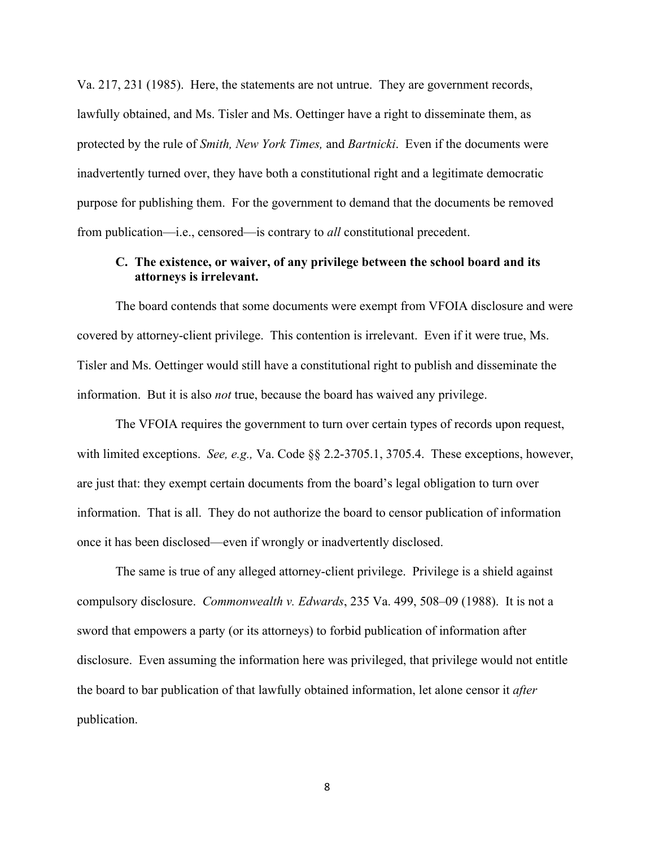Va. 217, 231 (1985). Here, the statements are not untrue. They are government records, lawfully obtained, and Ms. Tisler and Ms. Oettinger have a right to disseminate them, as protected by the rule of *Smith, New York Times,* and *Bartnicki*. Even if the documents were inadvertently turned over, they have both a constitutional right and a legitimate democratic purpose for publishing them. For the government to demand that the documents be removed from publication—i.e., censored—is contrary to *all* constitutional precedent.

# **C. The existence, or waiver, of any privilege between the school board and its attorneys is irrelevant.**

The board contends that some documents were exempt from VFOIA disclosure and were covered by attorney-client privilege. This contention is irrelevant. Even if it were true, Ms. Tisler and Ms. Oettinger would still have a constitutional right to publish and disseminate the information. But it is also *not* true, because the board has waived any privilege.

 The VFOIA requires the government to turn over certain types of records upon request, with limited exceptions. *See, e.g.,* Va. Code §§ 2.2-3705.1, 3705.4. These exceptions, however, are just that: they exempt certain documents from the board's legal obligation to turn over information. That is all. They do not authorize the board to censor publication of information once it has been disclosed—even if wrongly or inadvertently disclosed.

 The same is true of any alleged attorney-client privilege. Privilege is a shield against compulsory disclosure. *Commonwealth v. Edwards*, 235 Va. 499, 508–09 (1988). It is not a sword that empowers a party (or its attorneys) to forbid publication of information after disclosure. Even assuming the information here was privileged, that privilege would not entitle the board to bar publication of that lawfully obtained information, let alone censor it *after*  publication.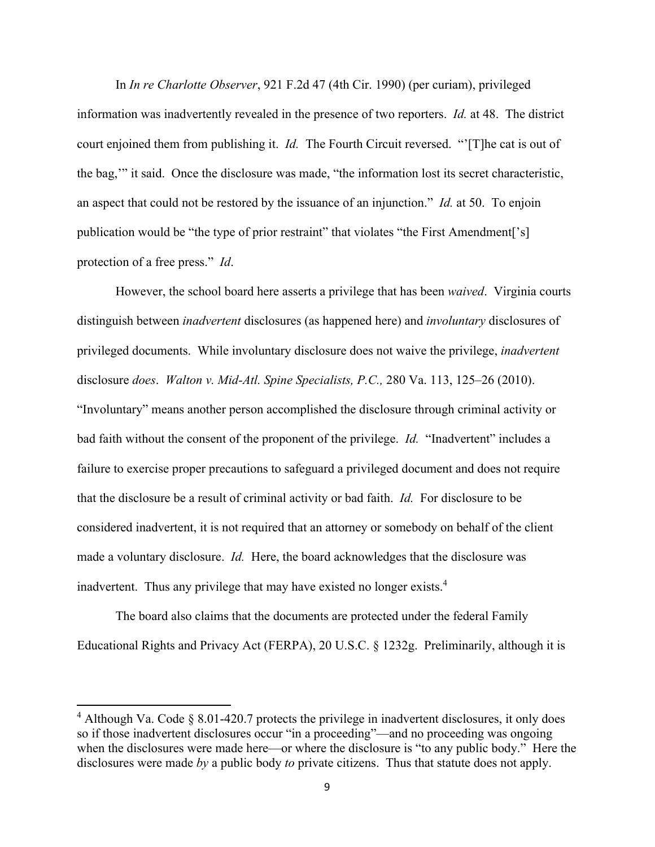In *In re Charlotte Observer*, 921 F.2d 47 (4th Cir. 1990) (per curiam), privileged information was inadvertently revealed in the presence of two reporters. *Id.* at 48. The district court enjoined them from publishing it. *Id.* The Fourth Circuit reversed. "'[T]he cat is out of the bag,'" it said. Once the disclosure was made, "the information lost its secret characteristic, an aspect that could not be restored by the issuance of an injunction." *Id.* at 50. To enjoin publication would be "the type of prior restraint" that violates "the First Amendment['s] protection of a free press." *Id*.

 However, the school board here asserts a privilege that has been *waived*. Virginia courts distinguish between *inadvertent* disclosures (as happened here) and *involuntary* disclosures of privileged documents. While involuntary disclosure does not waive the privilege, *inadvertent*  disclosure *does*. *Walton v. Mid-Atl. Spine Specialists, P.C.,* 280 Va. 113, 125–26 (2010). "Involuntary" means another person accomplished the disclosure through criminal activity or bad faith without the consent of the proponent of the privilege. *Id.* "Inadvertent" includes a failure to exercise proper precautions to safeguard a privileged document and does not require that the disclosure be a result of criminal activity or bad faith. *Id.* For disclosure to be considered inadvertent, it is not required that an attorney or somebody on behalf of the client made a voluntary disclosure. *Id.* Here, the board acknowledges that the disclosure was inadvertent. Thus any privilege that may have existed no longer exists.<sup>4</sup>

 The board also claims that the documents are protected under the federal Family Educational Rights and Privacy Act (FERPA), 20 U.S.C. § 1232g. Preliminarily, although it is

 $4$  Although Va. Code § 8.01-420.7 protects the privilege in inadvertent disclosures, it only does so if those inadvertent disclosures occur "in a proceeding"—and no proceeding was ongoing when the disclosures were made here—or where the disclosure is "to any public body." Here the disclosures were made *by* a public body *to* private citizens. Thus that statute does not apply.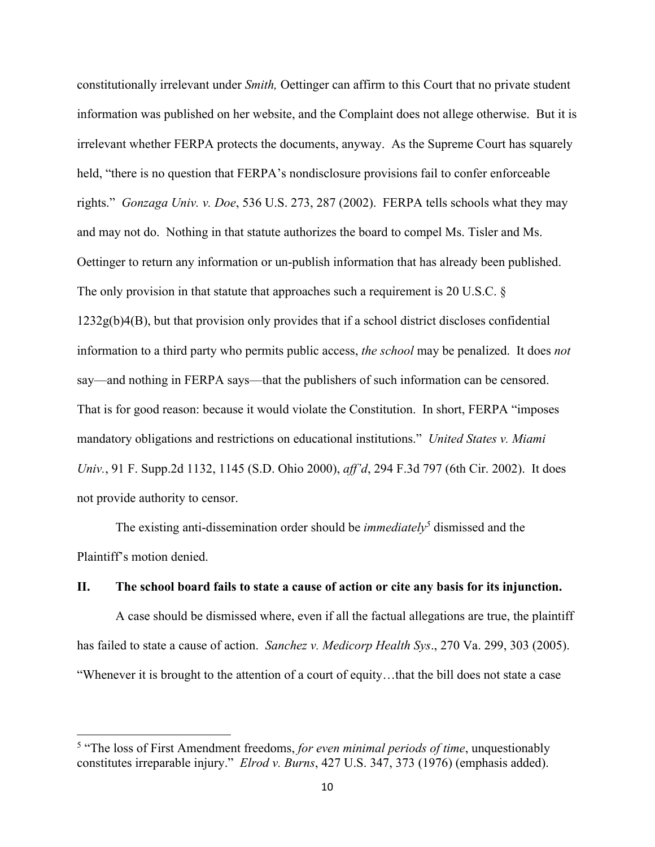constitutionally irrelevant under *Smith,* Oettinger can affirm to this Court that no private student information was published on her website, and the Complaint does not allege otherwise. But it is irrelevant whether FERPA protects the documents, anyway. As the Supreme Court has squarely held, "there is no question that FERPA's nondisclosure provisions fail to confer enforceable rights." *Gonzaga Univ. v. Doe*, 536 U.S. 273, 287 (2002). FERPA tells schools what they may and may not do. Nothing in that statute authorizes the board to compel Ms. Tisler and Ms. Oettinger to return any information or un-publish information that has already been published. The only provision in that statute that approaches such a requirement is 20 U.S.C. § 1232g(b)4(B), but that provision only provides that if a school district discloses confidential information to a third party who permits public access, *the school* may be penalized. It does *not* say—and nothing in FERPA says—that the publishers of such information can be censored. That is for good reason: because it would violate the Constitution. In short, FERPA "imposes mandatory obligations and restrictions on educational institutions." *United States v. Miami Univ.*, 91 F. Supp.2d 1132, 1145 (S.D. Ohio 2000), *aff'd*, 294 F.3d 797 (6th Cir. 2002). It does not provide authority to censor.

The existing anti-dissemination order should be *immediately* dismissed and the Plaintiff's motion denied.

#### **II. The school board fails to state a cause of action or cite any basis for its injunction.**

A case should be dismissed where, even if all the factual allegations are true, the plaintiff has failed to state a cause of action. *Sanchez v. Medicorp Health Sys*., 270 Va. 299, 303 (2005). "Whenever it is brought to the attention of a court of equity…that the bill does not state a case

<sup>&</sup>lt;sup>5</sup> "The loss of First Amendment freedoms, *for even minimal periods of time*, unquestionably constitutes irreparable injury." *Elrod v. Burns*, 427 U.S. 347, 373 (1976) (emphasis added).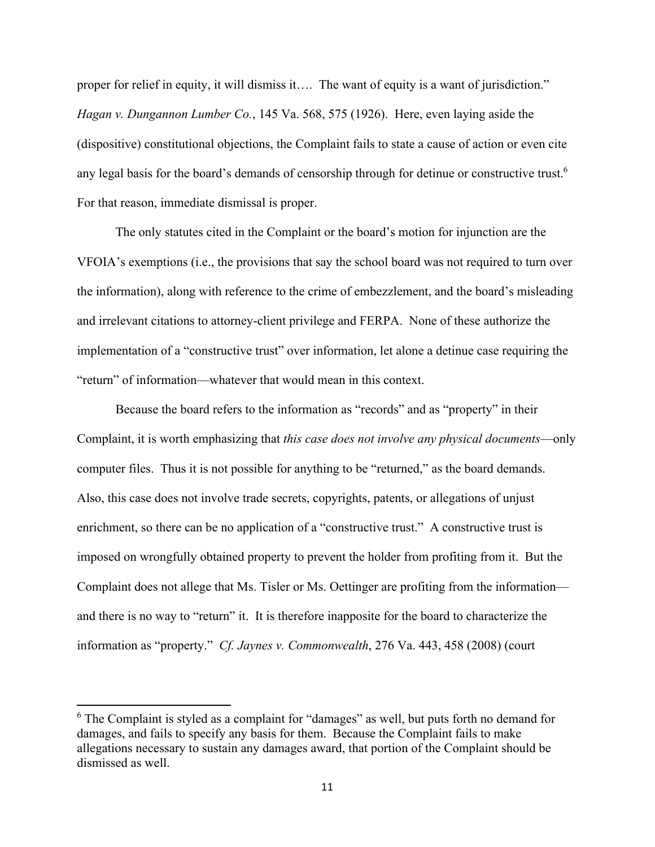proper for relief in equity, it will dismiss it.... The want of equity is a want of jurisdiction." *Hagan v. Dungannon Lumber Co.*, 145 Va. 568, 575 (1926). Here, even laying aside the (dispositive) constitutional objections, the Complaint fails to state a cause of action or even cite any legal basis for the board's demands of censorship through for detinue or constructive trust.<sup>6</sup> For that reason, immediate dismissal is proper.

 The only statutes cited in the Complaint or the board's motion for injunction are the VFOIA's exemptions (i.e., the provisions that say the school board was not required to turn over the information), along with reference to the crime of embezzlement, and the board's misleading and irrelevant citations to attorney-client privilege and FERPA. None of these authorize the implementation of a "constructive trust" over information, let alone a detinue case requiring the "return" of information—whatever that would mean in this context.

Because the board refers to the information as "records" and as "property" in their Complaint, it is worth emphasizing that *this case does not involve any physical documents*—only computer files. Thus it is not possible for anything to be "returned," as the board demands. Also, this case does not involve trade secrets, copyrights, patents, or allegations of unjust enrichment, so there can be no application of a "constructive trust." A constructive trust is imposed on wrongfully obtained property to prevent the holder from profiting from it. But the Complaint does not allege that Ms. Tisler or Ms. Oettinger are profiting from the information and there is no way to "return" it. It is therefore inapposite for the board to characterize the information as "property." *Cf. Jaynes v. Commonwealth*, 276 Va. 443, 458 (2008) (court

 $6$  The Complaint is styled as a complaint for "damages" as well, but puts forth no demand for damages, and fails to specify any basis for them. Because the Complaint fails to make allegations necessary to sustain any damages award, that portion of the Complaint should be dismissed as well.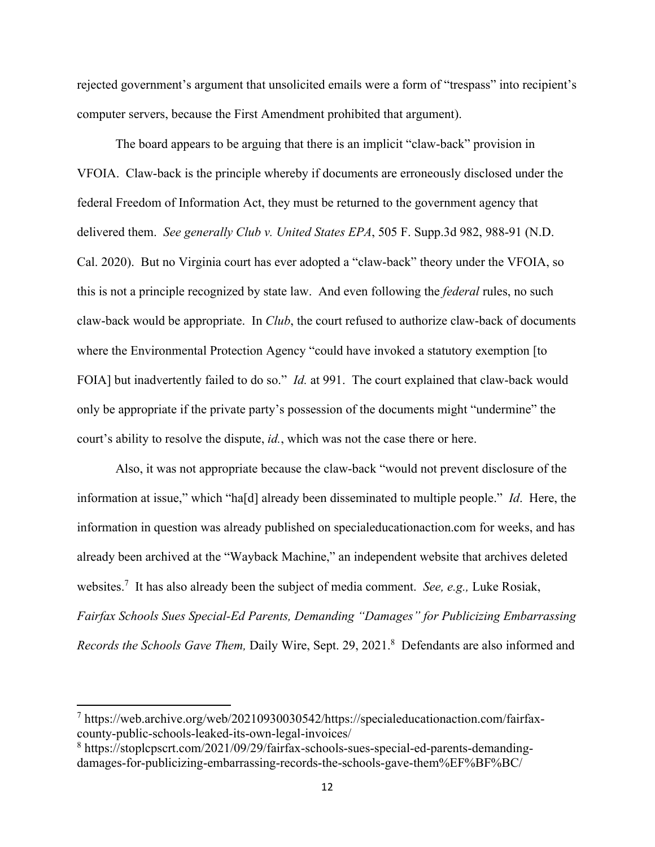rejected government's argument that unsolicited emails were a form of "trespass" into recipient's computer servers, because the First Amendment prohibited that argument).

 The board appears to be arguing that there is an implicit "claw-back" provision in VFOIA. Claw-back is the principle whereby if documents are erroneously disclosed under the federal Freedom of Information Act, they must be returned to the government agency that delivered them. *See generally Club v. United States EPA*, 505 F. Supp.3d 982, 988-91 (N.D. Cal. 2020). But no Virginia court has ever adopted a "claw-back" theory under the VFOIA, so this is not a principle recognized by state law. And even following the *federal* rules, no such claw-back would be appropriate. In *Club*, the court refused to authorize claw-back of documents where the Environmental Protection Agency "could have invoked a statutory exemption [to FOIA] but inadvertently failed to do so." *Id.* at 991. The court explained that claw-back would only be appropriate if the private party's possession of the documents might "undermine" the court's ability to resolve the dispute, *id.*, which was not the case there or here.

Also, it was not appropriate because the claw-back "would not prevent disclosure of the information at issue," which "ha[d] already been disseminated to multiple people." *Id*. Here, the information in question was already published on specialeducationaction.com for weeks, and has already been archived at the "Wayback Machine," an independent website that archives deleted websites.7 It has also already been the subject of media comment. *See, e.g.,* Luke Rosiak, *Fairfax Schools Sues Special-Ed Parents, Demanding "Damages" for Publicizing Embarrassing*  Records the Schools Gave Them, Daily Wire, Sept. 29, 2021.<sup>8</sup> Defendants are also informed and

<sup>&</sup>lt;sup>7</sup> https://web.archive.org/web/20210930030542/https://specialeducationaction.com/fairfaxcounty-public-schools-leaked-its-own-legal-invoices/

<sup>&</sup>lt;sup>8</sup> https://stoplcpscrt.com/2021/09/29/fairfax-schools-sues-special-ed-parents-demandingdamages-for-publicizing-embarrassing-records-the-schools-gave-them%EF%BF%BC/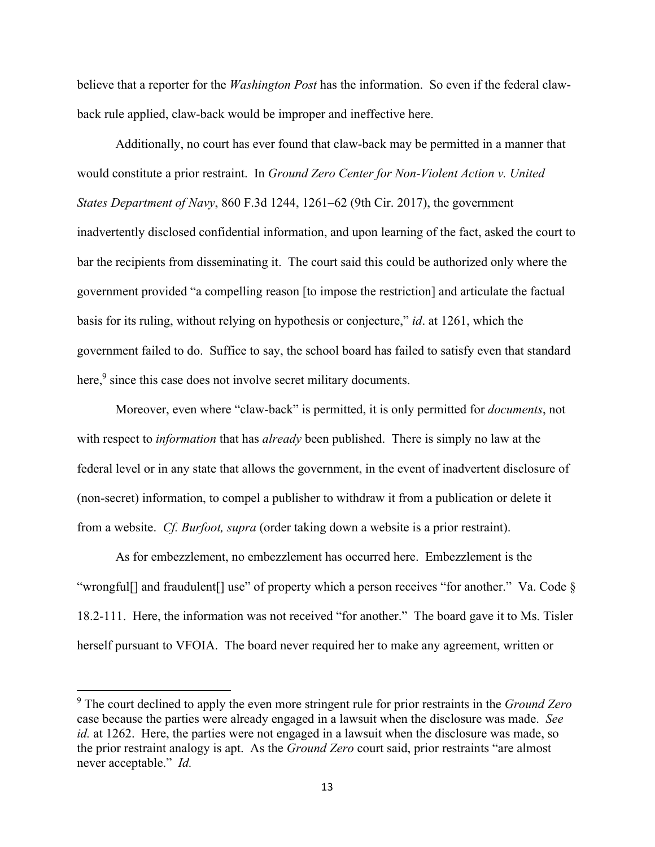believe that a reporter for the *Washington Post* has the information. So even if the federal clawback rule applied, claw-back would be improper and ineffective here.

 Additionally, no court has ever found that claw-back may be permitted in a manner that would constitute a prior restraint. In *Ground Zero Center for Non-Violent Action v. United States Department of Navy*, 860 F.3d 1244, 1261–62 (9th Cir. 2017), the government inadvertently disclosed confidential information, and upon learning of the fact, asked the court to bar the recipients from disseminating it. The court said this could be authorized only where the government provided "a compelling reason [to impose the restriction] and articulate the factual basis for its ruling, without relying on hypothesis or conjecture," *id*. at 1261, which the government failed to do. Suffice to say, the school board has failed to satisfy even that standard here,<sup>9</sup> since this case does not involve secret military documents.

 Moreover, even where "claw-back" is permitted, it is only permitted for *documents*, not with respect to *information* that has *already* been published. There is simply no law at the federal level or in any state that allows the government, in the event of inadvertent disclosure of (non-secret) information, to compel a publisher to withdraw it from a publication or delete it from a website. *Cf. Burfoot, supra* (order taking down a website is a prior restraint).

 As for embezzlement, no embezzlement has occurred here. Embezzlement is the "wrongful[] and fraudulent[] use" of property which a person receives "for another." Va. Code § 18.2-111. Here, the information was not received "for another." The board gave it to Ms. Tisler herself pursuant to VFOIA. The board never required her to make any agreement, written or

<sup>9</sup> The court declined to apply the even more stringent rule for prior restraints in the *Ground Zero* case because the parties were already engaged in a lawsuit when the disclosure was made. *See id.* at 1262. Here, the parties were not engaged in a lawsuit when the disclosure was made, so the prior restraint analogy is apt. As the *Ground Zero* court said, prior restraints "are almost never acceptable." *Id.*